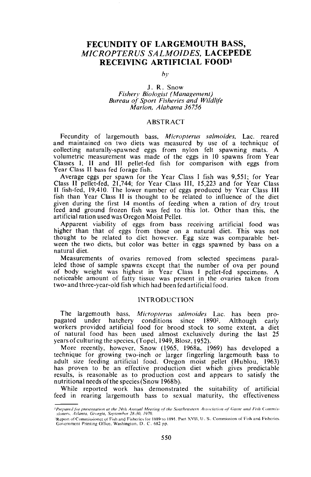# **FECUNDITY OF LARGEMOUTH** BASS, *MICROPTERUS SALMOIDES,* **LACEPEDE RECEIVING ARTIFICIAL FOODl**

## *by*

#### J. R. Snow  $Fisherv$  *Biologist (Management) Bureau of Sport Fisheries and Wildlife Marion. Alabama 36756*

#### **ABSTRACT**

Fecundity of largemouth bass, *Micropterus salmoides,* Lac. reared and maintained on two diets was measured by use of a technique of collecting naturally-spawned eggs from nylon felt spawning mats. A volumetric measurement was made of the eggs in 10 spawns from Year Classes I, II and III pellet-fed fish for comparison with eggs from Year Class II bass fed forage fish.

Average eggs per spawn for the Year Class I fish was 9,551; for Year Class II pellet-fed, 21,744; for Year Class III, 15,223 and for Year Class II fish-fed, 19,410. The lower number of eggs produced by Year Class III fish than Year Class II is thought to be related to influence of the diet given during the first 14 months of feeding when a ration of dry trout feed and ground frozen fish was fed to this lot. Other than this, the artificial ration used was Oregon Moist Pellet.

Apparent viability of eggs from bass receiving artificial food was higher than that of eggs from those on a natural diet. This was not thought to be related to diet however. Egg size was comparable between the two diets, but color was better in eggs spawned by bass on a natural diet.

Measurements of ovaries removed from selected specimens paralleled those of sample spawns except that the number of ova per pound of body weight was highest in Year Class I pellet-fed specimens. A noticeable amount of fatty tissue was present in the ovaries taken from two- and three-year-old fish which had been fed artificial food.

## INTRODUCTION

The largemouth bass, Micropterus salmoides Lac. has been propagated under hatchery conditions since 18902• Although early workers provided artificial food for brood stock to some extent, a diet of natural food has been used almost exclusively during the last 25 years of culturing the species, (Topel, 1949, Blosz, 1952).

More recently, however, Snow (1965, 1968a, 1969) has developed a technique for growing two-inch or larger fingerlin'g largemouth bass to adult size feeding artificial food. Oregon moist pellet (Hublou, 1963) has proven to be an effective production diet which gives predictable results, is reasonable as to production cost and appears to satisfy the nutritional needs of the species (Snow 1968b).

While reported work has demonstrated the suitability of artificial feed in rearing largemouth bass to sexual maturity, the effectiveness

<sup>&</sup>lt;sup>1</sup> Prepared for presentation at the 24th Annual Meeting of the Southeastern Association of Game and Fish Commis- $$ 

Report of Commissioner of Fish and Fisheries for 1889 to 1891. Part XVII, U. S. Commission of Fish and Fisheries. Government Printing Office, Washington, D. C. 682 pp.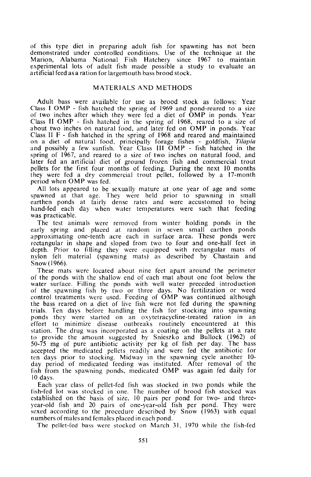of this type diet in preparing adult fish for spawning has not been demonstrated under controlled conditions. Use of the technique at the Marion, Alabama National Fish Hatchery since 1967 to maintain experimental lots of adult fish made possible a study to evaluate an artificial feed as a ration for largemouth bass brood stock.

#### MATERIALS AND METHODS

Adult bass were available for use as brood stock as follows: Year Class I OMP - fish hatched the spring of 1969 and pond-reared to a size of two inches after which they were fed a diet of OMP in ponds. Year Class II OMP - fish hatched in the spring of 1968, reared to a size of about two inches on natural food, and later fed on OMP in ponds. Year Class II F - fish hatched in the spring of <sup>1968</sup> and reared and maintained on <sup>a</sup> diet of natural food, principally forage fishes - goldfish, *Tilapia* and possibly a few sunfish. Year Class III OMP - fish hatched in the spring of 1967, and reared to a size of two inches on natural food, and later fed an artificial diet of ground frozen fish and commercial trout pellets for the first four months of feeding. During the next 10 months they were fed a dry commercial trout pellet, followed by a 17-month period when OMP was fed.

All lots appeared to be sexually mature at one year of age and some spawned at that age. They were held prior to spawning in small earthen ponds at fairly dense rates and were accustomed to being hand-fed each day when water temperatures were such that feeding was practicable.

The test animals were removed from winter holding ponds in the early spring and placed at random in seven small earthen ponds approximating one-tenth acre each in surface area. These ponds were rectangular in shape and sloped from two to four and one-half feet in depth. Prior to filling they were equipped with rectangular mats of nylon felt material (spawning mats) as described by Chastain and Snow (1966).

These mats were located about nine feet apart around the perimeter of the ponds with the shallow end of each mat about one foot below the water surface. Filling the ponds with well water preceded introduction of the spawning fish by two or three days. No fertilization or weed control treatments were used. Feeding of OMP was continued although the bass reared on a diet of live fish were not fed during the spawning trials. Ten days before handling the fish for stocking into spawning ponds they were started on an oxytetracycline-treated ration in an effort to minimize disease outbreaks routinely encountered at this station. The drug was incorporated as a coating on the pellets at a rate to provide the amount suggested by Snieszko and Bullock (1962) of 50-75 mg of pure antibiotic activity per kg of fish per day. The bass accepted the medicated pellets readily and were fed the antibiotic for ten days prior to stocking. Midway in the spawning cycle another 10 day period of medicated feeding was instituted. After removal of the fish from the spawning ponds, medicated OMP was again fed daily for 10 days.

Each year class of pellet-fed fish was stocked in two ponds while the fish-fed lot was stocked in one. The number of brood fish stocked was established on the basis of size, 10 pairs per pond for two- and threeyear-old fish and <sup>20</sup> pairs of one-year-old fish per pond. They were sexed according to the procedure described by Snow (1963) with equal numbers of males and females placed in each pond.

The pellet-fed bass were stocked on March 31, 1970 while the fish-fed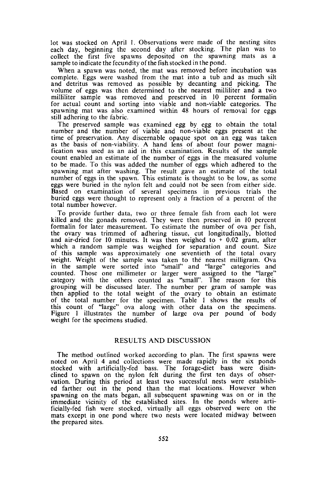lot was stocked on April I. Observations were made of the nesting sites each day, beginning the second day after stocking. The plan was to collect the first five spawns deposited on the spawning mats as <sup>a</sup> sample to indicate the fecundity ofthe fish stocked in the pond.

When <sup>a</sup> spawn was noted, the mat was removed before incubation was complete. Eggs were washed from the mat into <sup>a</sup> tub and as much silt and detritus was removed as possible by decanting and picking. The volume of eggs was then determined to the nearest milliliter and a two milliliter sample was removed and preserved in 10 percent formalin for actual count and sorting into viable and non-viable categories. The spawning mat was also examined within 48 hours of removal for eggs still adhering to the fabric.

The preserved sample was examined egg by egg to obtain the total number and the number of viable and non-viable eggs present at the time of preservation. Any discernable opaque spot on an egg was taken as the basis of non-viability. <sup>A</sup> hand lens of about four power magnification was used as an aid in this examination. Results of the sample count enabled an estimate of the number of eggs in the measured volume to be made. To this was added the number of eggs which adhered to the spawning mat after washing. The result gave an estimate of the total number of eggs in the spawn. This estimate is thought to be low, as some eggs were buried in the nylon felt and could not be seen from either side. Based on examination of several specimens in previous trials the buried eggs were thought to represent only a fraction of a percent of the total number however.

To provide further data, two or three female fish from each lot were killed and the gonads removed. They were then preserved in <sup>10</sup> percent formalin for later measurement. To estimate the number of ova per fish, the ovary was trimmed of adhering tissue, cut longitudinally, blotted and air-dried for 10 minutes. It was then weighed to  $+$  0.02 gram, after which a random sample was weighed for separation and count. Size of this sample was approximately one seventieth of the total ovary weight. Weight of the sample was taken to the nearest milligram. Ova in the sample were sorted into "small" and "large" categories and counted. Those one millimeter or larger were assigned to the "large" category with the others counted as "small". The reason for this grouping will be discussed later. The number per gram of sample was then applied to the total weight of the ovary to obtain an estimate of the total number for the specimen. Table I shows the results of this count of "large" ova along with other data on the specimens. Figure I illustrates the number of large ova per pound of body weight for the specimens studied.

#### RESULTS AND DISCUSSION

The method outlined worked according to plan. The first spawns were noted on April <sup>4</sup> and collections were made rapidly in the six ponds stocked with artificially-fed bass. The forage-diet bass were disinclined to spawn on the nylon felt during the first ten days of observation. During this period at least two successful nests were established farther out in the pond than the mat locations. However when spawning on the mats began, all subsequent spawning was on or in the immediate vicinity of the established sites. **In** the ponds where artificially-fed fish were stocked, virtually all eggs observed were on the mats except in one pond where two nests were located midway between the prepared sites.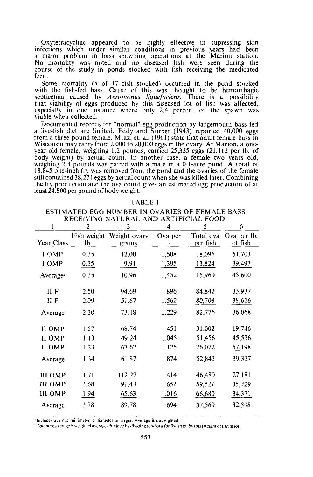Oxytetracycline appeared to be highly effective in supressing skin infections which under similar conditions in previous years had been <sup>a</sup> major problem in bass spawning operations at the Marion station. No mortality was noted and no diseased fish were seen during the course of the study in ponds stocked with fish receiving the medicated feed.

Some mortality (5 of 17 fish stocked) occurred in the pond stocked with the fish-fed bass. Cause of this was thought to be hemorrhagic septicemia caused by *Aeromonas liquefaciens.* There is a possibility that viability of eggs produced by this diseased lot of fish was affected, especially in one instance where only 2.4 percent of the spawn was viable when collected.

Documented records for "normal" egg production by largemouth bass fed a live-fish diet are limited. Eddy and Surber (1943) reported 40,000 eggs from a three-pound female. Mraz, et. al. (1961) state that adult female bass in Wisconsin may carry from 2,000 to 20,000 eggs in the ovary. At Marion, <sup>a</sup> one- year-old female, weighing 1.2 pounds, carried 25,335 eggs (21,112 per lb. of body weight) by actual count. In another case, a female two years old, weighing 2.3 pounds was paired with a male in a O.I-acre pond. A total of 18,845 one-inch fry was removed from the pond and the ovaries of the female still contained 38,27 I eggs by actual count when she was killed later. Combining the fry production and the ova count gives an estimated egg production of at least 24,800 per pound of body weight.

|                      | 2                  | KECERTING INATURAL AND ARTITICIAL POOD.<br>3 | 4            | 5                     | 6                      |
|----------------------|--------------------|----------------------------------------------|--------------|-----------------------|------------------------|
| Year Class           | Fish weight<br>lb. | Weight ovary<br>grams                        | Ova per<br>ı | Total ova<br>per fish | Ova per lb.<br>of fish |
| I OMP                | 0.35               | 12.00                                        | 1,508        | 18,096                | 51,703                 |
| I OMP                | 0.35               | 9.91                                         | 1,395        | 13,824                | 39,497                 |
| Average <sup>2</sup> | 0.35               | 10.96                                        | 1,452        | 15,960                | 45,600                 |
| $II$ $F$             | 2.50               | 94.69                                        | 896          | 84,842                | 33,937                 |
| 11 F                 | 2.09               | 51.67                                        | 1,562        | 80,708                | 38,616                 |
| Average              | 2.30               | 73.18                                        | 1,229        | 82,776                | 36,068                 |
| II OMP               | 1.57               | 68.74                                        | 451          | 31,002                | 19,746                 |
| II OMP               | 1.13               | 49.24                                        | 1,045        | 51,456                | 45,536                 |
| II OMP               | 1.33               | 67.62                                        | 1,125        | 76,072                | 57,198                 |
| Average              | 1.34               | 61.87                                        | 874          | 52,843                | 39,337                 |
| <b>III OMP</b>       | 1.71               | 112.27                                       | 414          | 46,480                | 27,181                 |
| <b>III OMP</b>       | 1.68               | 91.43                                        | 651          | 59,521                | 35,429                 |
| <b>III OMP</b>       | 1.94               | 65.63                                        | 1,016        | 66,680                | 34,371                 |
| Average              | 1.78               | 89.78                                        | 694          | 57,560                | 32,398                 |

TABLE I

ESTIMATED EGG NUMBER IN OVARIES OF FEMALE BASS RECEIVING NATURAL AND ARTIFICIAL FOOD.

Includes ova one millimeter in diameter or larger. Average is unweighted.

<sup>2</sup>Column 6 average is weighted average obtained by dividing total ova for fish in lot by total weight of fish in lot.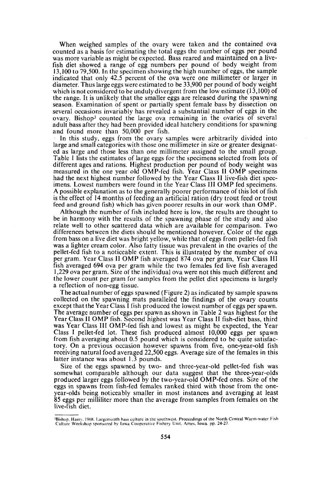When weighed samples of the ovary were taken and the contained ova counted as a basis for estimating the total eggs the number of eggs per pound was more variable as might be expected. Bass reared and maintained on a livefish diet showed a range of egg numbers per pound of body weight from 13,100 to 79,500. In the specimen showing the high number of eggs, the sample indicated that only 42.5 percent of the ova were one millimeter or larger in diameter. Thus large eggs were estimated to be 33,900 per pound of body weight which is not considered to be unduly divergent from the low estimate (13,100) of the range. It is unlikely that the smaller eggs are released during the spawning season. Examination of spent or partially spent female bass by dissection on several occasions invariably has revealed a substantial number of eggs in the ovary. Bishop<sup>3</sup> counted the large ova remaining in the ovaries of several adult bass after they had been provided ideal hatchery conditions for spawning and found more than 50,000 per fish.

In this study, eggs from the ovary samples were arbitrarily divided into large and small categories with those one millimeter in size or greater designated as large and those less than one millimeter assigned to the small group. Table I lists the estimates of large eggs for the specimens selected from lots of different ages and rations. Highest production per pound of body weight was measured in the one year old OMP-fed fish. Year Class II OMP specimens had the next highest number followed by the Year Class II live-fish diet specimens. Lowest numbers were found in the Year Class III OMP fed specimens. A possible explanation as to the generally poorer performance of this lot of fish is the effect of 14 months of feeding an artificial ration (dry trout feed or trout feed and ground fish) which has given poorer results in our work than OMP.

Although the number of fish included here is low, the results are thought to be in harmony with the results of the spawning phase of the study and also relate well to other scattered data which are available for comparison. Two differences between the diets should be mentioned however. Color of the eggs from bass on a live diet was bright yellow, while that of eggs from pellet-fed fish was a lighter cream color. Also fatty tissue was prevalent in the ovaries of the pellet-fed fish to a noticeable extent. This is illustrated by the number of ova per gram. Year Class II OMP fish averaged 874 ova per gram, Year Class III fish averaged 694 ova per gram while the two females fed live fish averaged 1,229 ova per gram. Size of the individual ova were not this much different and the lower count per gram for samples from the pellet diet specimens is largely <sup>a</sup> reflection of non-egg tissue.

The actual number of eggs spawned (Figure 2) as indicated by sample spawns collected on the spawning mats paralleled the findings of the ovary counts except that the Year Class I fish produced the lowest number of eggs per spawn. The average number of eggs per spawn as shown in Table 2 was highest for the Year Class II OMP fish. Second highest was Year Class II fish-diet bass, third was Year Class III OMP-fed fish and lowest as might be expected, the Year Class I pellet-fed lot. These fish produced almost 10,000 eggs per spawn from fish averaging about 0.5 pound which is considered to be quite satisfactory. On a previous occasion however spawns from five, one-year-old fish receiving natural food averaged 22,500 eggs. Average size of the females in this latter instance was about 1.3 pounds.

Size of the eggs spawned by two- and three-year-old pellet-fed fish was somewhat comparable although our data suggest that the three-year-olds produced larger eggs followed by the two-year-old OMP-fed ones. Size of the eggs in spawns from fish-fed females ranked third with those from the oneyear-olds being noticeably smaller in most instances and averaging at least 85 eggs per milliliter more than the average from samples from females on the live-fish diet.

lBishop, Harry. 1969. Largemouth hass culture in the southwest. Proceedings of the North Central Warm-water Fish Culture Workshop sponsored hy Iowa Cooperative Fishery Unit. Ames, Iowa. pp. 24-27.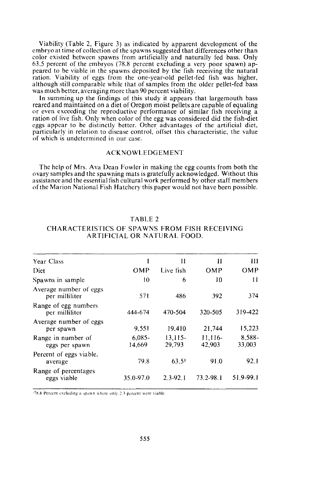Viability (Table 2, Figure 3) as indicated by apparent development of the embryo at time of collection of the spawns suggested that differences other than color existed between spawns from artificially and naturally fed bass. Only 63.5 percent of the embryos (78.8 percent excluding a very poor spawn) appeared to be viable in the spawns deposited by the fish receiving the natural ration. Viability of eggs from the one-year-old pellet-fed fish was higher, although still comparable while that of samples from the older pellet-fed bass was much better, averaging more than 90 percent viability.

In summing up the findings of this study it appears that largemouth bass reared and maintained on a diet of Oregon moist pellets are capable of equaling or even exceeding the reproductive performance of similar fish receiving a ration of live fish. Only when color of the egg was considered did the fish-diet eggs appear to be distinctly better. Other advantages of the artificial diet, particularly in relation to disease control, offset this characteristic, the value of which is undetermined in our case.

#### **ACKNOWLEDGEMENT**

The help of Mrs. Ava Dean Fowler in making the egg counts from both the ovary samples and the spawning mats is gratefully acknowledged. Without this assistance and the essential fish cultural work performed by other staff members ofthe Marion National Fish Hatchery this paper would not have been possible.

| <b>Year Class</b>                        |                     | Н                   | Н                 | Ш                |
|------------------------------------------|---------------------|---------------------|-------------------|------------------|
| Diet                                     | OMP                 | Live fish           | OMP               | OMP              |
| Spawns in sample                         | 10                  | 6                   | 10                | 11               |
| Average number of eggs<br>per milliliter | 571                 | 486                 | 392               | 374              |
| Range of egg numbers<br>per milliliter   | 444-674             | 470-504             | 320-505           | 319-422          |
| Average number of eggs<br>per spawn      | 9.551               | 19.410              | 21,744            | 15,223           |
| Range in number of<br>eggs per spawn     | $6.085 -$<br>14,669 | $13,115-$<br>29.793 | 11,116-<br>42,903 | 8,588-<br>33,003 |
| Percent of eggs viable,<br>average       | 79.8                | $63.5$ <sup>1</sup> | 91.0              | 92.1             |
| Range of percentages<br>eggs viable      | 35.0-97.0           | $2.3 - 92.1$        | 73.2-98.1         | 51.9-99.1        |

## TABLE 2

#### CHARACTERISTICS OF SPAWNS FROM FISH RECEIVING ARTIFICIAL OR NATURAL FOOD.

 $178.8$  Percent excluding a spawn where only 2.3 percent were viable.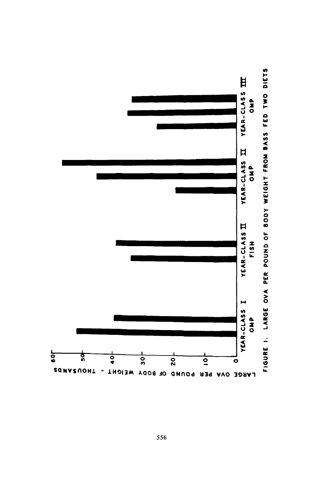

FIGURE 1. LARGE OVA PER POUND OF BODY WEIGHT FROM BASS FED TWO DIETS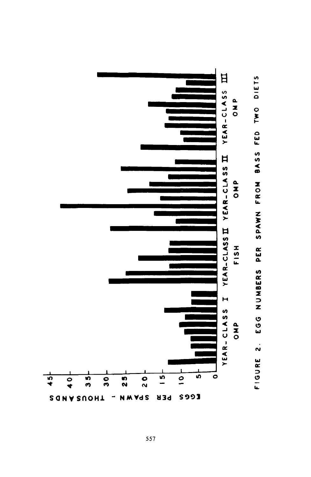

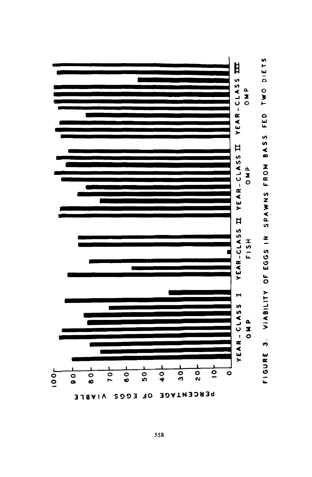